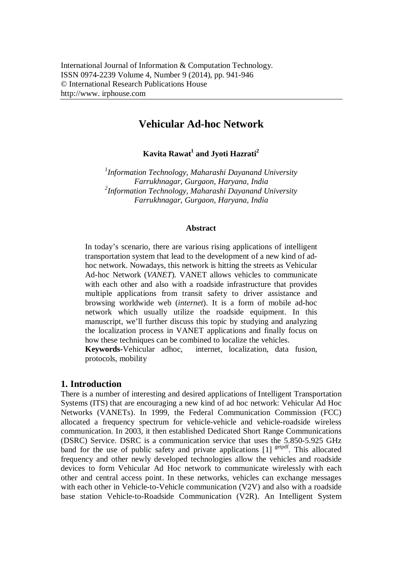# **Vehicular Ad-hoc Network**

**Kavita Rawat<sup>1</sup> and Jyoti Hazrati<sup>2</sup>**

*1 Information Technology, Maharashi Dayanand University Farrukhnagar, Gurgaon, Haryana, India 2 Information Technology, Maharashi Dayanand University Farrukhnagar, Gurgaon, Haryana, India*

#### **Abstract**

In today's scenario, there are various rising applications of intelligent transportation system that lead to the development of a new kind of adhoc network. Nowadays, this network is hitting the streets as Vehicular Ad-hoc Network (*VANET*). VANET allows vehicles to communicate with each other and also with a roadside infrastructure that provides multiple applications from transit safety to driver assistance and browsing worldwide web (*internet*). It is a form of mobile ad-hoc network which usually utilize the roadside equipment. In this manuscript, we'll further discuss this topic by studying and analyzing the localization process in VANET applications and finally focus on how these techniques can be combined to localize the vehicles.

**Keywords-**Vehicular adhoc, internet, localization, data fusion, protocols, mobility

## **1. Introduction**

There is a number of interesting and desired applications of Intelligent Transportation Systems (ITS) that are encouraging a new kind of ad hoc network: Vehicular Ad Hoc Networks (VANETs). In 1999, the Federal Communication Commission (FCC) allocated a frequency spectrum for vehicle-vehicle and vehicle-roadside wireless communication. In 2003, it then established Dedicated Short Range Communications (DSRC) Service. DSRC is a communication service that uses the 5.850-5.925 GHz band for the use of public safety and private applications  $[1]$ <sup>getpdf</sup>. This allocated frequency and other newly developed technologies allow the vehicles and roadside devices to form Vehicular Ad Hoc network to communicate wirelessly with each other and central access point. In these networks, vehicles can exchange messages with each other in Vehicle-to-Vehicle communication (V2V) and also with a roadside base station Vehicle-to-Roadside Communication (V2R). An Intelligent System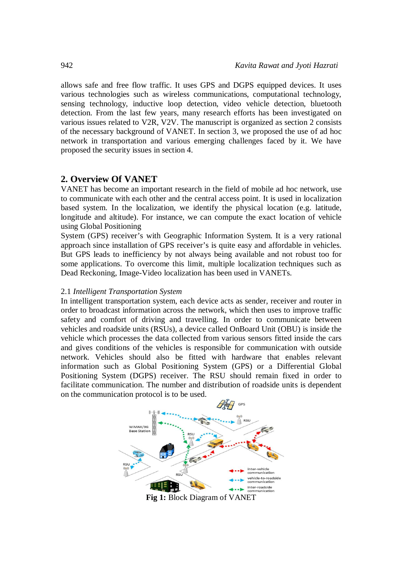allows safe and free flow traffic. It uses GPS and DGPS equipped devices. It uses various technologies such as wireless communications, computational technology, sensing technology, inductive loop detection, video vehicle detection, bluetooth detection. From the last few years, many research efforts has been investigated on various issues related to V2R, V2V. The manuscript is organized as section 2 consists of the necessary background of VANET. In section 3, we proposed the use of ad hoc network in transportation and various emerging challenges faced by it. We have proposed the security issues in section 4.

## **2. Overview Of VANET**

VANET has become an important research in the field of mobile ad hoc network, use to communicate with each other and the central access point. It is used in localization based system. In the localization, we identify the physical location (e.g. latitude, longitude and altitude). For instance, we can compute the exact location of vehicle using Global Positioning

System (GPS) receiver's with Geographic Information System. It is a very rational approach since installation of GPS receiver's is quite easy and affordable in vehicles. But GPS leads to inefficiency by not always being available and not robust too for some applications. To overcome this limit, multiple localization techniques such as Dead Reckoning, Image-Video localization has been used in VANETs.

#### 2.1 *Intelligent Transportation System*

In intelligent transportation system, each device acts as sender, receiver and router in order to broadcast information across the network, which then uses to improve traffic safety and comfort of driving and travelling. In order to communicate between vehicles and roadside units (RSUs), a device called OnBoard Unit (OBU) is inside the vehicle which processes the data collected from various sensors fitted inside the cars and gives conditions of the vehicles is responsible for communication with outside network. Vehicles should also be fitted with hardware that enables relevant information such as Global Positioning System (GPS) or a Differential Global Positioning System (DGPS) receiver. The RSU should remain fixed in order to facilitate communication. The number and distribution of roadside units is dependent on the communication protocol is to be used.



**Fig 1:** Block Diagram of VANET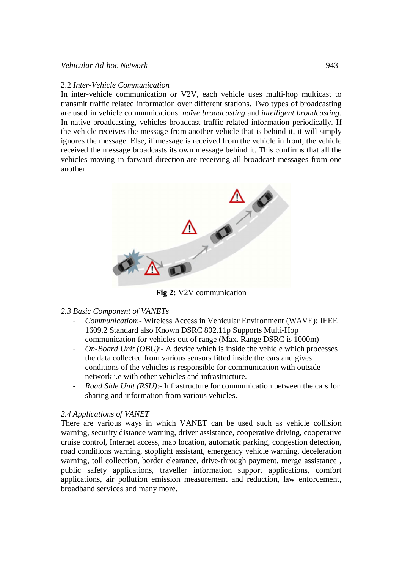#### *Vehicular Ad-hoc Network* 943

#### 2.2 *Inter-Vehicle Communication*

In inter-vehicle communication or V2V, each vehicle uses multi-hop multicast to transmit traffic related information over different stations. Two types of broadcasting are used in vehicle communications: *naïve broadcasting* and *intelligent broadcasting.*  In native broadcasting, vehicles broadcast traffic related information periodically. If the vehicle receives the message from another vehicle that is behind it, it will simply ignores the message. Else, if message is received from the vehicle in front, the vehicle received the message broadcasts its own message behind it. This confirms that all the vehicles moving in forward direction are receiving all broadcast messages from one another.



**Fig 2:** V2V communication

## *2.3 Basic Component of VANETs*

- *Communication*:- Wireless Access in Vehicular Environment (WAVE): IEEE 1609.2 Standard also Known DSRC 802.11p Supports Multi-Hop communication for vehicles out of range (Max. Range DSRC is 1000m)
- *On-Board Unit (OBU)*:- A device which is inside the vehicle which processes the data collected from various sensors fitted inside the cars and gives conditions of the vehicles is responsible for communication with outside network i.e with other vehicles and infrastructure.
- *Road Side Unit (RSU)*:- Infrastructure for communication between the cars for sharing and information from various vehicles.

## *2.4 Applications of VANET*

There are various ways in which VANET can be used such as vehicle collision warning, security distance warning, driver assistance, cooperative driving, cooperative cruise control, Internet access, map location, automatic parking, congestion detection, road conditions warning, stoplight assistant, emergency vehicle warning, deceleration warning, toll collection, border clearance, drive-through payment, merge assistance, public safety applications, traveller information support applications, comfort applications, air pollution emission measurement and reduction, law enforcement, broadband services and many more.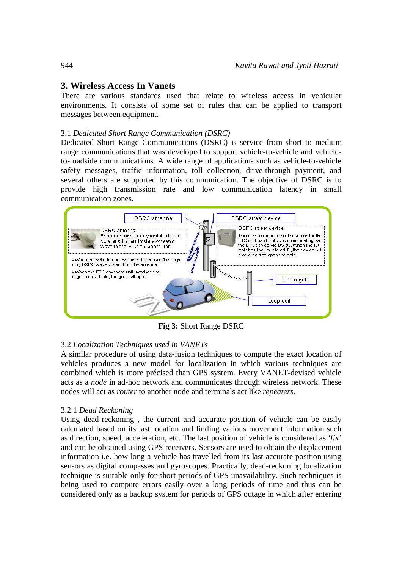# **3. Wireless Access In Vanets**

There are various standards used that relate to wireless access in vehicular environments. It consists of some set of rules that can be applied to transport messages between equipment.

# 3.1 *Dedicated Short Range Communication (DSRC)*

Dedicated Short Range Communications (DSRC) is service from short to medium range communications that was developed to support vehicle-to-vehicle and vehicleto-roadside communications. A wide range of applications such as vehicle-to-vehicle safety messages, traffic information, toll collection, drive-through payment, and several others are supported by this communication. The objective of DSRC is to provide high transmission rate and low communication latency in small communication zones.



**Fig 3:** Short Range DSRC

# 3.2 *Localization Techniques used in VANETs*

A similar procedure of using data-fusion techniques to compute the exact location of vehicles produces a new model for localization in which various techniques are combined which is more précised than GPS system. Every VANET-devised vehicle acts as a *node* in ad-hoc network and communicates through wireless network. These nodes will act as *router* to another node and terminals act like *repeaters*.

## 3.2.1 *Dead Reckoning*

Using dead-reckoning , the current and accurate position of vehicle can be easily calculated based on its last location and finding various movement information such as direction, speed, acceleration, etc. The last position of vehicle is considered as '*fix'* and can be obtained using GPS receivers. Sensors are used to obtain the displacement information i.e. how long a vehicle has travelled from its last accurate position using sensors as digital compasses and gyroscopes. Practically, dead-reckoning localization technique is suitable only for short periods of GPS unavailability. Such techniques is being used to compute errors easily over a long periods of time and thus can be considered only as a backup system for periods of GPS outage in which after entering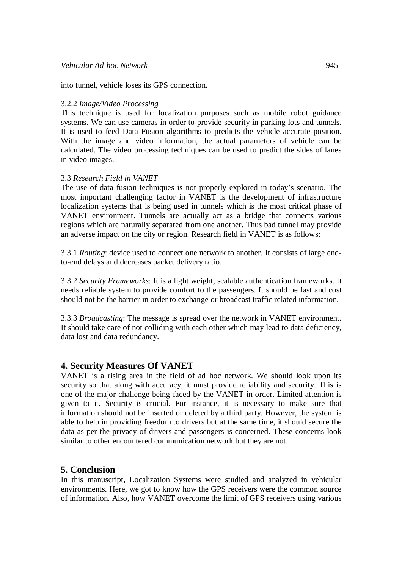into tunnel, vehicle loses its GPS connection.

#### 3.2.2 *Image/Video Processing*

This technique is used for localization purposes such as mobile robot guidance systems. We can use cameras in order to provide security in parking lots and tunnels. It is used to feed Data Fusion algorithms to predicts the vehicle accurate position. With the image and video information, the actual parameters of vehicle can be calculated. The video processing techniques can be used to predict the sides of lanes in video images.

#### 3.3 *Research Field in VANET*

The use of data fusion techniques is not properly explored in today's scenario. The most important challenging factor in VANET is the development of infrastructure localization systems that is being used in tunnels which is the most critical phase of VANET environment. Tunnels are actually act as a bridge that connects various regions which are naturally separated from one another. Thus bad tunnel may provide an adverse impact on the city or region. Research field in VANET is as follows:

3.3.1 *Routing*: device used to connect one network to another. It consists of large endto-end delays and decreases packet delivery ratio.

3.3.2 *Security Frameworks*: It is a light weight, scalable authentication frameworks. It needs reliable system to provide comfort to the passengers. It should be fast and cost should not be the barrier in order to exchange or broadcast traffic related information.

3.3.3 *Broadcasting*: The message is spread over the network in VANET environment. It should take care of not colliding with each other which may lead to data deficiency, data lost and data redundancy.

# **4. Security Measures Of VANET**

VANET is a rising area in the field of ad hoc network. We should look upon its security so that along with accuracy, it must provide reliability and security. This is one of the major challenge being faced by the VANET in order. Limited attention is given to it. Security is crucial. For instance, it is necessary to make sure that information should not be inserted or deleted by a third party. However, the system is able to help in providing freedom to drivers but at the same time, it should secure the data as per the privacy of drivers and passengers is concerned. These concerns look similar to other encountered communication network but they are not.

## **5. Conclusion**

In this manuscript, Localization Systems were studied and analyzed in vehicular environments. Here, we got to know how the GPS receivers were the common source of information. Also, how VANET overcome the limit of GPS receivers using various